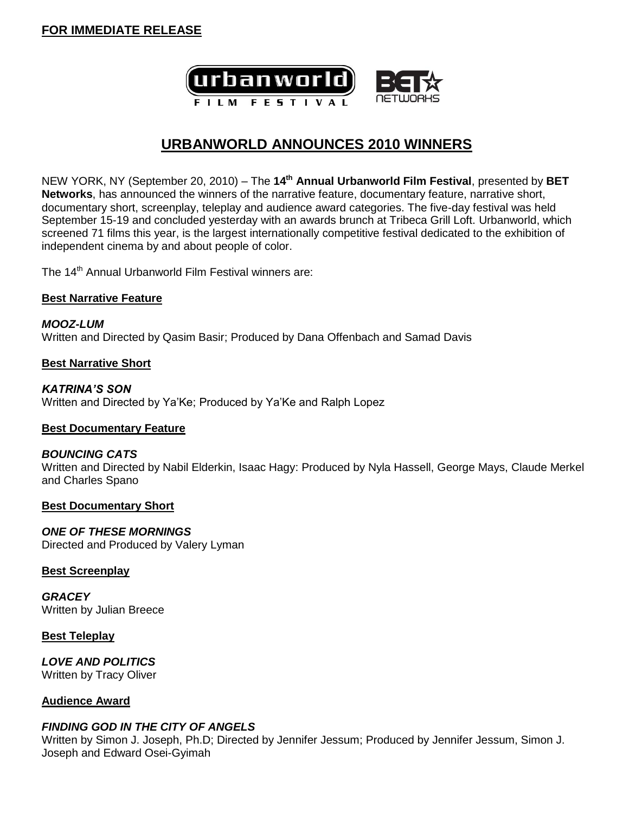

# **URBANWORLD ANNOUNCES 2010 WINNERS**

NEW YORK, NY (September 20, 2010) – The **14th Annual Urbanworld Film Festival**, presented by **BET Networks**, has announced the winners of the narrative feature, documentary feature, narrative short, documentary short, screenplay, teleplay and audience award categories. The five-day festival was held September 15-19 and concluded yesterday with an awards brunch at Tribeca Grill Loft. Urbanworld, which screened 71 films this year, is the largest internationally competitive festival dedicated to the exhibition of independent cinema by and about people of color.

The 14<sup>th</sup> Annual Urbanworld Film Festival winners are:

### **Best Narrative Feature**

*MOOZ-LUM* Written and Directed by Qasim Basir; Produced by Dana Offenbach and Samad Davis

### **Best Narrative Short**

*KATRINA'S SON* Written and Directed by Ya'Ke; Produced by Ya'Ke and Ralph Lopez

# **Best Documentary Feature**

### *BOUNCING CATS*

Written and Directed by Nabil Elderkin, Isaac Hagy: Produced by Nyla Hassell, George Mays, Claude Merkel and Charles Spano

### **Best Documentary Short**

*ONE OF THESE MORNINGS* Directed and Produced by Valery Lyman

# **Best Screenplay**

*GRACEY* Written by Julian Breece

### **Best Teleplay**

*LOVE AND POLITICS* Written by Tracy Oliver

# **Audience Award**

# *FINDING GOD IN THE CITY OF ANGELS*

Written by Simon J. Joseph, Ph.D; Directed by Jennifer Jessum; Produced by Jennifer Jessum, Simon J. Joseph and Edward Osei-Gyimah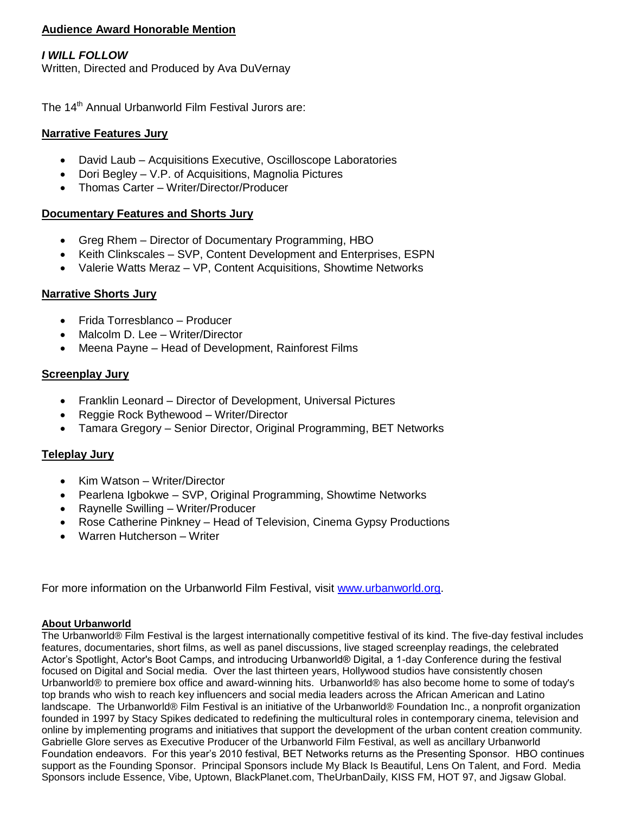# **Audience Award Honorable Mention**

# *I WILL FOLLOW*

Written, Directed and Produced by Ava DuVernay

The 14<sup>th</sup> Annual Urbanworld Film Festival Jurors are:

## **Narrative Features Jury**

- David Laub Acquisitions Executive, Oscilloscope Laboratories
- Dori Begley V.P. of Acquisitions, Magnolia Pictures
- Thomas Carter Writer/Director/Producer

### **Documentary Features and Shorts Jury**

- Greg Rhem Director of Documentary Programming, HBO
- Keith Clinkscales SVP, Content Development and Enterprises, ESPN
- Valerie Watts Meraz VP, Content Acquisitions, Showtime Networks

### **Narrative Shorts Jury**

- Frida Torresblanco Producer
- Malcolm D. Lee Writer/Director
- Meena Payne Head of Development, Rainforest Films

### **Screenplay Jury**

- Franklin Leonard Director of Development, Universal Pictures
- Reggie Rock Bythewood Writer/Director
- Tamara Gregory Senior Director, Original Programming, BET Networks

# **Teleplay Jury**

- Kim Watson Writer/Director
- Pearlena Igbokwe SVP, Original Programming, Showtime Networks
- Raynelle Swilling Writer/Producer
- Rose Catherine Pinkney Head of Television, Cinema Gypsy Productions
- Warren Hutcherson Writer

For more information on the Urbanworld Film Festival, visit [www.urbanworld.org.](http://www.urbanworld.org/)

## **About Urbanworld**

The Urbanworld® Film Festival is the largest internationally competitive festival of its kind. The five-day festival includes features, documentaries, short films, as well as panel discussions, live staged screenplay readings, the celebrated Actor's Spotlight, Actor's Boot Camps, and introducing Urbanworld® Digital, a 1-day Conference during the festival focused on Digital and Social media. Over the last thirteen years, Hollywood studios have consistently chosen Urbanworld® to premiere box office and award-winning hits. Urbanworld® has also become home to some of today's top brands who wish to reach key influencers and social media leaders across the African American and Latino landscape. The Urbanworld® Film Festival is an initiative of the Urbanworld® Foundation Inc., a nonprofit organization founded in 1997 by Stacy Spikes dedicated to redefining the multicultural roles in contemporary cinema, television and online by implementing programs and initiatives that support the development of the urban content creation community. Gabrielle Glore serves as Executive Producer of the Urbanworld Film Festival, as well as ancillary Urbanworld Foundation endeavors. For this year's 2010 festival, BET Networks returns as the Presenting Sponsor. HBO continues support as the Founding Sponsor. Principal Sponsors include My Black Is Beautiful, Lens On Talent, and Ford. Media Sponsors include Essence, Vibe, Uptown, BlackPlanet.com, TheUrbanDaily, KISS FM, HOT 97, and Jigsaw Global.